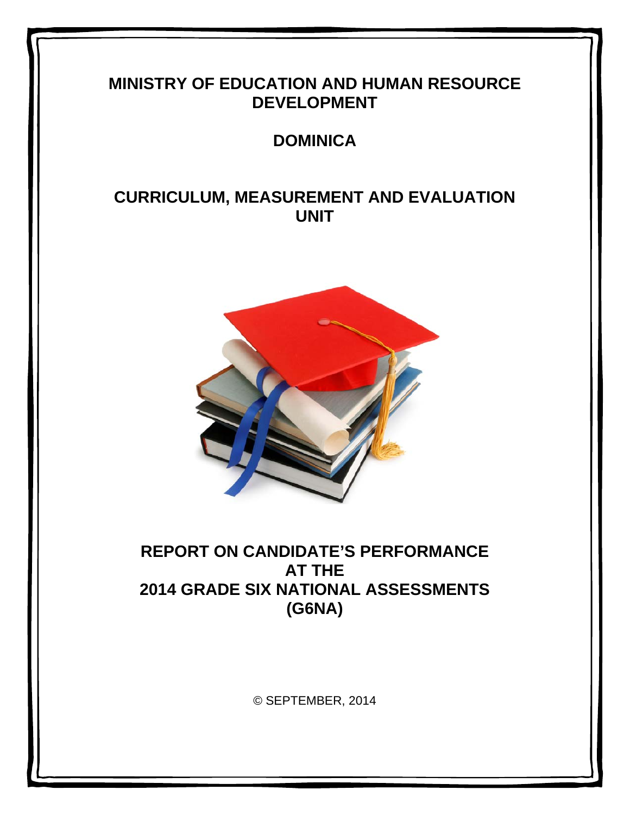# **MINISTRY OF EDUCATION AND HUMAN RESOURCE DEVELOPMENT**

# **DOMINICA**

# **CURRICULUM, MEASUREMENT AND EVALUATION UNIT**



# **REPORT ON CANDIDATE'S PERFORMANCE AT THE 2014 GRADE SIX NATIONAL ASSESSMENTS (G6NA)**

© SEPTEMBER, 2014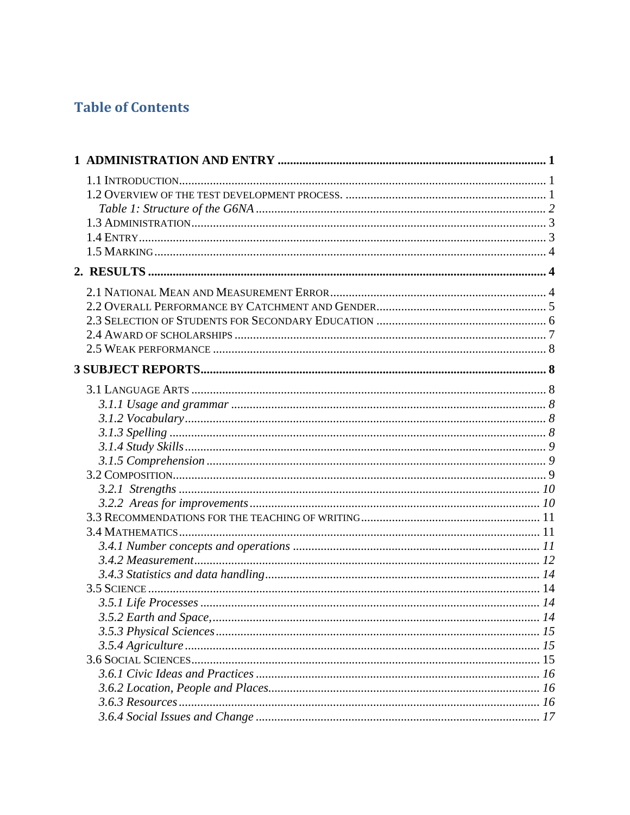# **Table of Contents**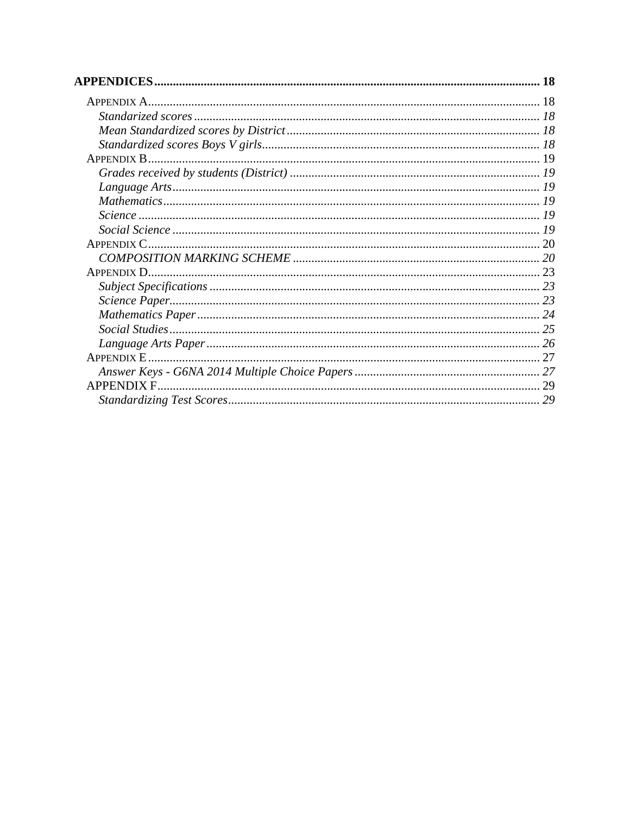| APPENDIX D.,      |    |
|-------------------|----|
|                   |    |
|                   |    |
|                   |    |
|                   |    |
|                   |    |
|                   |    |
|                   |    |
| <b>APPENDIX F</b> |    |
|                   | 29 |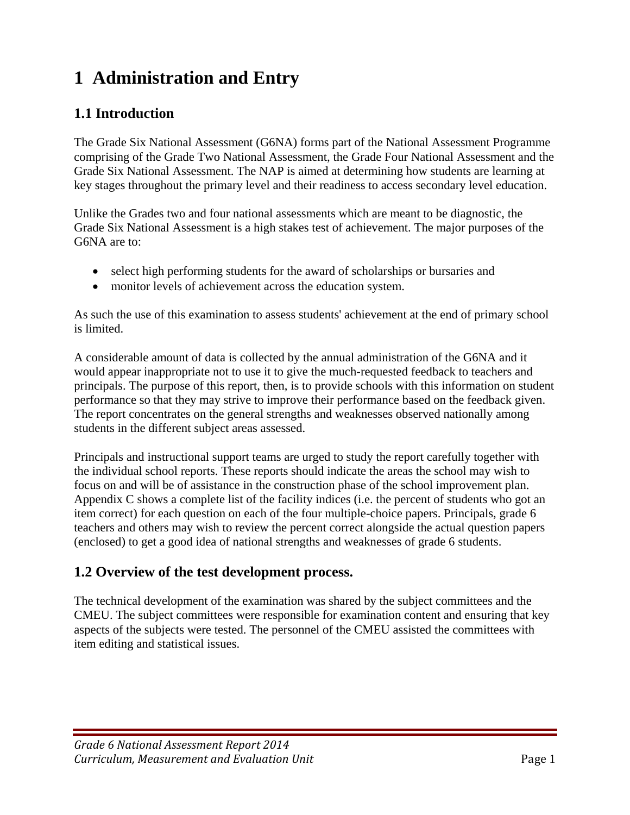# **1 Administration and Entry**

## **1.1 Introduction**

The Grade Six National Assessment (G6NA) forms part of the National Assessment Programme comprising of the Grade Two National Assessment, the Grade Four National Assessment and the Grade Six National Assessment. The NAP is aimed at determining how students are learning at key stages throughout the primary level and their readiness to access secondary level education.

Unlike the Grades two and four national assessments which are meant to be diagnostic, the Grade Six National Assessment is a high stakes test of achievement. The major purposes of the G6NA are to:

- select high performing students for the award of scholarships or bursaries and
- monitor levels of achievement across the education system.

As such the use of this examination to assess students' achievement at the end of primary school is limited.

A considerable amount of data is collected by the annual administration of the G6NA and it would appear inappropriate not to use it to give the much-requested feedback to teachers and principals. The purpose of this report, then, is to provide schools with this information on student performance so that they may strive to improve their performance based on the feedback given. The report concentrates on the general strengths and weaknesses observed nationally among students in the different subject areas assessed.

Principals and instructional support teams are urged to study the report carefully together with the individual school reports. These reports should indicate the areas the school may wish to focus on and will be of assistance in the construction phase of the school improvement plan. Appendix C shows a complete list of the facility indices (i.e. the percent of students who got an item correct) for each question on each of the four multiple-choice papers. Principals, grade 6 teachers and others may wish to review the percent correct alongside the actual question papers (enclosed) to get a good idea of national strengths and weaknesses of grade 6 students.

## **1.2 Overview of the test development process.**

The technical development of the examination was shared by the subject committees and the CMEU. The subject committees were responsible for examination content and ensuring that key aspects of the subjects were tested. The personnel of the CMEU assisted the committees with item editing and statistical issues.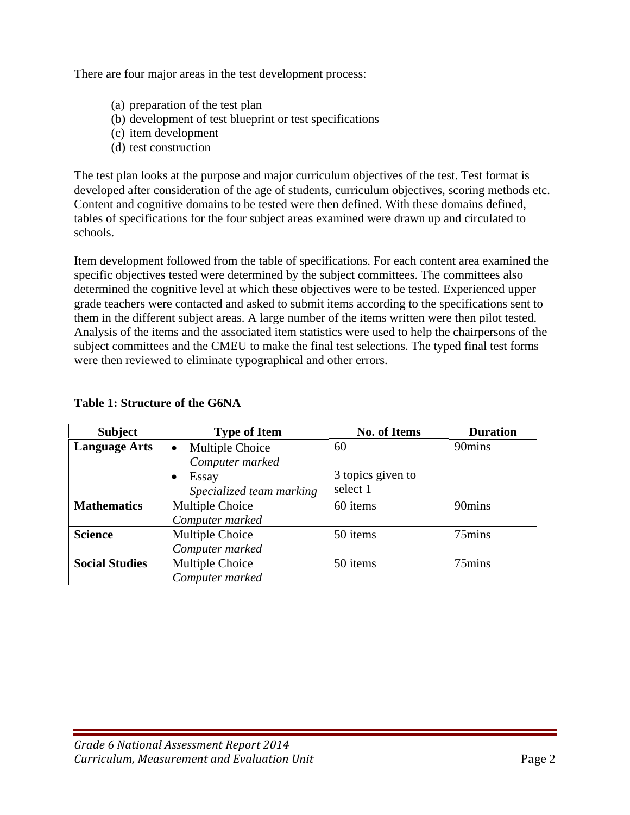There are four major areas in the test development process:

- (a) preparation of the test plan
- (b) development of test blueprint or test specifications
- (c) item development
- (d) test construction

The test plan looks at the purpose and major curriculum objectives of the test. Test format is developed after consideration of the age of students, curriculum objectives, scoring methods etc. Content and cognitive domains to be tested were then defined. With these domains defined, tables of specifications for the four subject areas examined were drawn up and circulated to schools.

Item development followed from the table of specifications. For each content area examined the specific objectives tested were determined by the subject committees. The committees also determined the cognitive level at which these objectives were to be tested. Experienced upper grade teachers were contacted and asked to submit items according to the specifications sent to them in the different subject areas. A large number of the items written were then pilot tested. Analysis of the items and the associated item statistics were used to help the chairpersons of the subject committees and the CMEU to make the final test selections. The typed final test forms were then reviewed to eliminate typographical and other errors.

| <b>Subject</b>        | <b>Type of Item</b>          | <b>No. of Items</b> | <b>Duration</b> |
|-----------------------|------------------------------|---------------------|-----------------|
| <b>Language Arts</b>  | Multiple Choice<br>$\bullet$ | 60                  | 90mins          |
|                       | Computer marked              |                     |                 |
|                       | Essay                        | 3 topics given to   |                 |
|                       | Specialized team marking     | select 1            |                 |
| <b>Mathematics</b>    | Multiple Choice              | 60 items            | 90mins          |
|                       | Computer marked              |                     |                 |
| <b>Science</b>        | Multiple Choice              | 50 items            | 75mins          |
|                       | Computer marked              |                     |                 |
| <b>Social Studies</b> | Multiple Choice              | 50 items            | 75mins          |
|                       | Computer marked              |                     |                 |

#### **Table 1: Structure of the G6NA**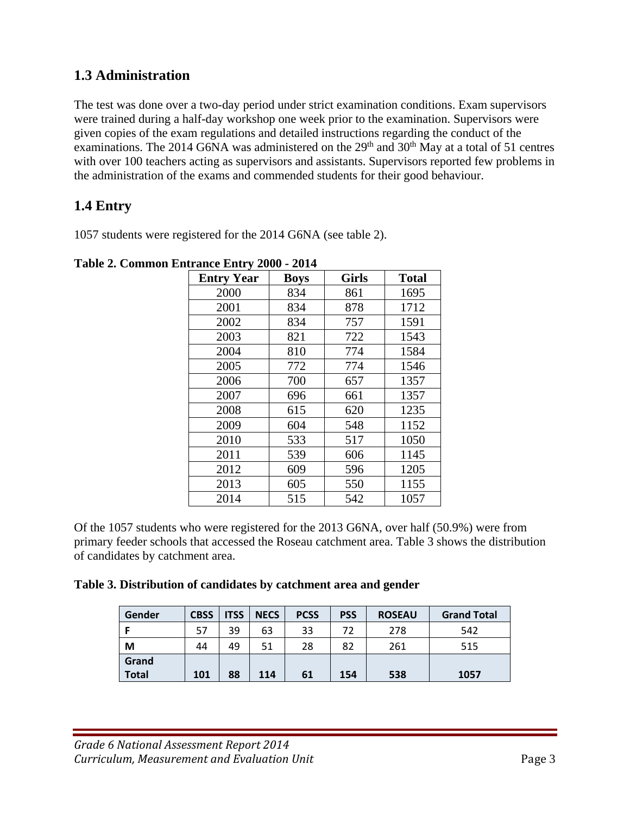## **1.3 Administration**

The test was done over a two-day period under strict examination conditions. Exam supervisors were trained during a half-day workshop one week prior to the examination. Supervisors were given copies of the exam regulations and detailed instructions regarding the conduct of the examinations. The 2014 G6NA was administered on the  $29<sup>th</sup>$  and  $30<sup>th</sup>$  May at a total of 51 centres with over 100 teachers acting as supervisors and assistants. Supervisors reported few problems in the administration of the exams and commended students for their good behaviour.

# **1.4 Entry**

1057 students were registered for the 2014 G6NA (see table 2).

| <b>Entry Year</b> | <b>Boys</b> | <b>Girls</b> | <b>Total</b> |
|-------------------|-------------|--------------|--------------|
| 2000              | 834         | 861          | 1695         |
| 2001              | 834         | 878          | 1712         |
| 2002              | 834         | 757          | 1591         |
| 2003              | 821         | 722          | 1543         |
| 2004              | 810         | 774          | 1584         |
| 2005              | 772         | 774          | 1546         |
| 2006              | 700         | 657          | 1357         |
| 2007              | 696         | 661          | 1357         |
| 2008              | 615         | 620          | 1235         |
| 2009              | 604         | 548          | 1152         |
| 2010              | 533         | 517          | 1050         |
| 2011              | 539         | 606          | 1145         |
| 2012              | 609         | 596          | 1205         |
| 2013              | 605         | 550          | 1155         |
| 2014              | 515         | 542          | 1057         |

**Table 2. Common Entrance Entry 2000 - 2014** 

Of the 1057 students who were registered for the 2013 G6NA, over half (50.9%) were from primary feeder schools that accessed the Roseau catchment area. Table 3 shows the distribution of candidates by catchment area.

|  | Table 3. Distribution of candidates by catchment area and gender |
|--|------------------------------------------------------------------|
|--|------------------------------------------------------------------|

| Gender                | <b>CBSS</b> | <b>ITSS</b> | <b>NECS</b> | <b>PCSS</b> | <b>PSS</b> | <b>ROSEAU</b> | <b>Grand Total</b> |
|-----------------------|-------------|-------------|-------------|-------------|------------|---------------|--------------------|
|                       | 57          | 39          | 63          | 33          | 72         | 278           | 542                |
| М                     | 44          | 49          | 51          | 28          | 82         | 261           | 515                |
| Grand<br><b>Total</b> | 101         | 88          | 114         | 61          | 154        | 538           | 1057               |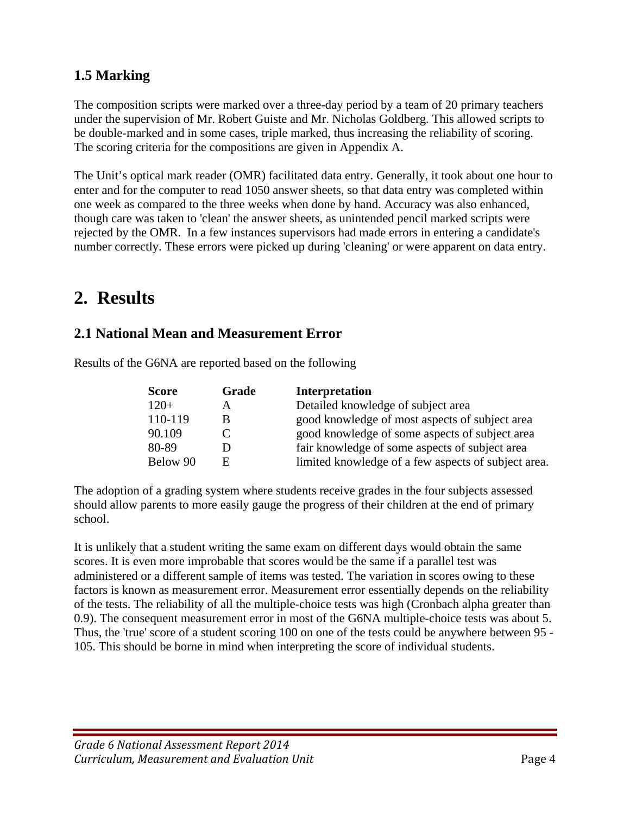# **1.5 Marking**

The composition scripts were marked over a three-day period by a team of 20 primary teachers under the supervision of Mr. Robert Guiste and Mr. Nicholas Goldberg. This allowed scripts to be double-marked and in some cases, triple marked, thus increasing the reliability of scoring. The scoring criteria for the compositions are given in Appendix A.

The Unit's optical mark reader (OMR) facilitated data entry. Generally, it took about one hour to enter and for the computer to read 1050 answer sheets, so that data entry was completed within one week as compared to the three weeks when done by hand. Accuracy was also enhanced, though care was taken to 'clean' the answer sheets, as unintended pencil marked scripts were rejected by the OMR. In a few instances supervisors had made errors in entering a candidate's number correctly. These errors were picked up during 'cleaning' or were apparent on data entry.

# **2. Results**

## **2.1 National Mean and Measurement Error**

| Results of the G6NA are reported based on the following |
|---------------------------------------------------------|
|                                                         |

| <b>Score</b> | Grade        | <b>Interpretation</b>                               |
|--------------|--------------|-----------------------------------------------------|
| $120+$       | A            | Detailed knowledge of subject area                  |
| 110-119      | <sub>B</sub> | good knowledge of most aspects of subject area      |
| 90.109       |              | good knowledge of some aspects of subject area      |
| 80-89        |              | fair knowledge of some aspects of subject area      |
| Below 90     | E            | limited knowledge of a few aspects of subject area. |

The adoption of a grading system where students receive grades in the four subjects assessed should allow parents to more easily gauge the progress of their children at the end of primary school.

It is unlikely that a student writing the same exam on different days would obtain the same scores. It is even more improbable that scores would be the same if a parallel test was administered or a different sample of items was tested. The variation in scores owing to these factors is known as measurement error. Measurement error essentially depends on the reliability of the tests. The reliability of all the multiple-choice tests was high (Cronbach alpha greater than 0.9). The consequent measurement error in most of the G6NA multiple-choice tests was about 5. Thus, the 'true' score of a student scoring 100 on one of the tests could be anywhere between 95 - 105. This should be borne in mind when interpreting the score of individual students.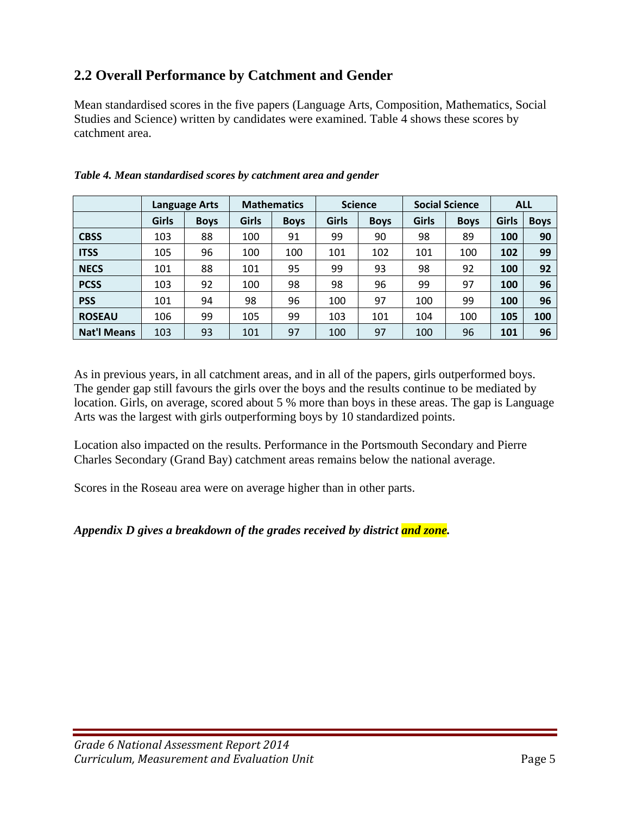# **2.2 Overall Performance by Catchment and Gender**

Mean standardised scores in the five papers (Language Arts, Composition, Mathematics, Social Studies and Science) written by candidates were examined. Table 4 shows these scores by catchment area.

|                    | Language Arts |             | <b>Mathematics</b> |             | <b>Science</b> |             | <b>Social Science</b> |             | <b>ALL</b>   |             |
|--------------------|---------------|-------------|--------------------|-------------|----------------|-------------|-----------------------|-------------|--------------|-------------|
|                    | <b>Girls</b>  | <b>Boys</b> | <b>Girls</b>       | <b>Boys</b> | <b>Girls</b>   | <b>Boys</b> | <b>Girls</b>          | <b>Boys</b> | <b>Girls</b> | <b>Boys</b> |
| <b>CBSS</b>        | 103           | 88          | 100                | 91          | 99             | 90          | 98                    | 89          | 100          | 90          |
| <b>ITSS</b>        | 105           | 96          | 100                | 100         | 101            | 102         | 101                   | 100         | 102          | 99          |
| <b>NECS</b>        | 101           | 88          | 101                | 95          | 99             | 93          | 98                    | 92          | 100          | 92          |
| <b>PCSS</b>        | 103           | 92          | 100                | 98          | 98             | 96          | 99                    | 97          | 100          | 96          |
| <b>PSS</b>         | 101           | 94          | 98                 | 96          | 100            | 97          | 100                   | 99          | 100          | 96          |
| <b>ROSEAU</b>      | 106           | 99          | 105                | 99          | 103            | 101         | 104                   | 100         | 105          | 100         |
| <b>Nat'l Means</b> | 103           | 93          | 101                | 97          | 100            | 97          | 100                   | 96          | 101          | 96          |

#### *Table 4. Mean standardised scores by catchment area and gender*

As in previous years, in all catchment areas, and in all of the papers, girls outperformed boys. The gender gap still favours the girls over the boys and the results continue to be mediated by location. Girls, on average, scored about 5 % more than boys in these areas. The gap is Language Arts was the largest with girls outperforming boys by 10 standardized points.

Location also impacted on the results. Performance in the Portsmouth Secondary and Pierre Charles Secondary (Grand Bay) catchment areas remains below the national average.

Scores in the Roseau area were on average higher than in other parts.

#### *Appendix D gives a breakdown of the grades received by district and zone.*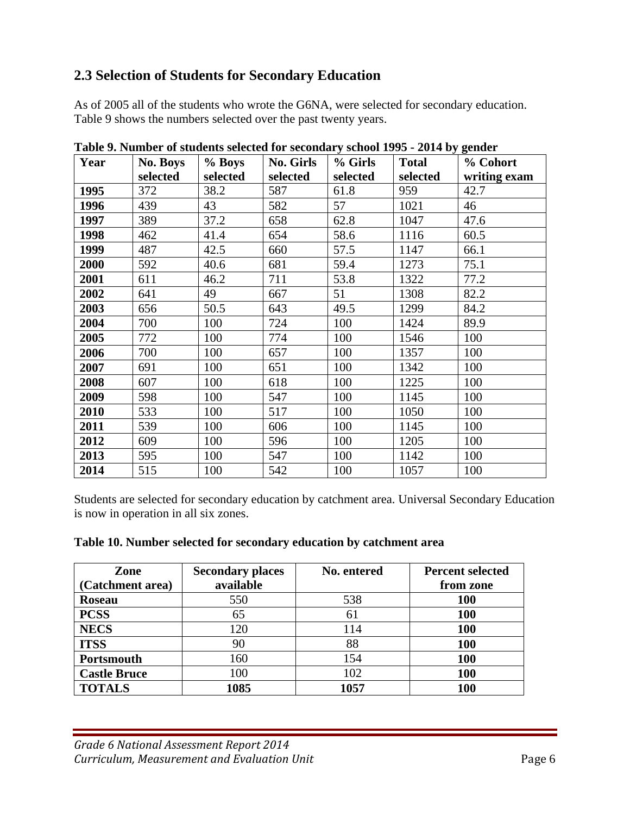## **2.3 Selection of Students for Secondary Education**

As of 2005 all of the students who wrote the G6NA, were selected for secondary education. Table 9 shows the numbers selected over the past twenty years.

| Year | <b>No. Boys</b> | % Boys   | <b>No. Girls</b> | % Girls  | <b>Total</b> | % Cohort     |
|------|-----------------|----------|------------------|----------|--------------|--------------|
|      | selected        | selected | selected         | selected | selected     | writing exam |
| 1995 | 372             | 38.2     | 587              | 61.8     | 959          | 42.7         |
| 1996 | 439             | 43       | 582              | 57       | 1021         | 46           |
| 1997 | 389             | 37.2     | 658              | 62.8     | 1047         | 47.6         |
| 1998 | 462             | 41.4     | 654              | 58.6     | 1116         | 60.5         |
| 1999 | 487             | 42.5     | 660              | 57.5     | 1147         | 66.1         |
| 2000 | 592             | 40.6     | 681              | 59.4     | 1273         | 75.1         |
| 2001 | 611             | 46.2     | 711              | 53.8     | 1322         | 77.2         |
| 2002 | 641             | 49       | 667              | 51       | 1308         | 82.2         |
| 2003 | 656             | 50.5     | 643              | 49.5     | 1299         | 84.2         |
| 2004 | 700             | 100      | 724              | 100      | 1424         | 89.9         |
| 2005 | 772             | 100      | 774              | 100      | 1546         | 100          |
| 2006 | 700             | 100      | 657              | 100      | 1357         | 100          |
| 2007 | 691             | 100      | 651              | 100      | 1342         | 100          |
| 2008 | 607             | 100      | 618              | 100      | 1225         | 100          |
| 2009 | 598             | 100      | 547              | 100      | 1145         | 100          |
| 2010 | 533             | 100      | 517              | 100      | 1050         | 100          |
| 2011 | 539             | 100      | 606              | 100      | 1145         | 100          |
| 2012 | 609             | 100      | 596              | 100      | 1205         | 100          |
| 2013 | 595             | 100      | 547              | 100      | 1142         | 100          |
| 2014 | 515             | 100      | 542              | 100      | 1057         | 100          |

**Table 9. Number of students selected for secondary school 1995 - 2014 by gender** 

Students are selected for secondary education by catchment area. Universal Secondary Education is now in operation in all six zones.

| Zone                | <b>Secondary places</b> | No. entered | <b>Percent selected</b> |  |
|---------------------|-------------------------|-------------|-------------------------|--|
| (Catchment area)    | available               |             | from zone               |  |
| <b>Roseau</b>       | 550                     | 538         | <b>100</b>              |  |
| <b>PCSS</b>         | 65                      | 61          | <b>100</b>              |  |
| <b>NECS</b>         | 120                     | 114         | 100                     |  |
| <b>ITSS</b>         | 90                      | 88          | 100                     |  |
| Portsmouth          | 160                     | 154         | 100                     |  |
| <b>Castle Bruce</b> | 100                     | 102         | 100                     |  |
| <b>TOTALS</b>       | 1085                    | 1057        | <b>100</b>              |  |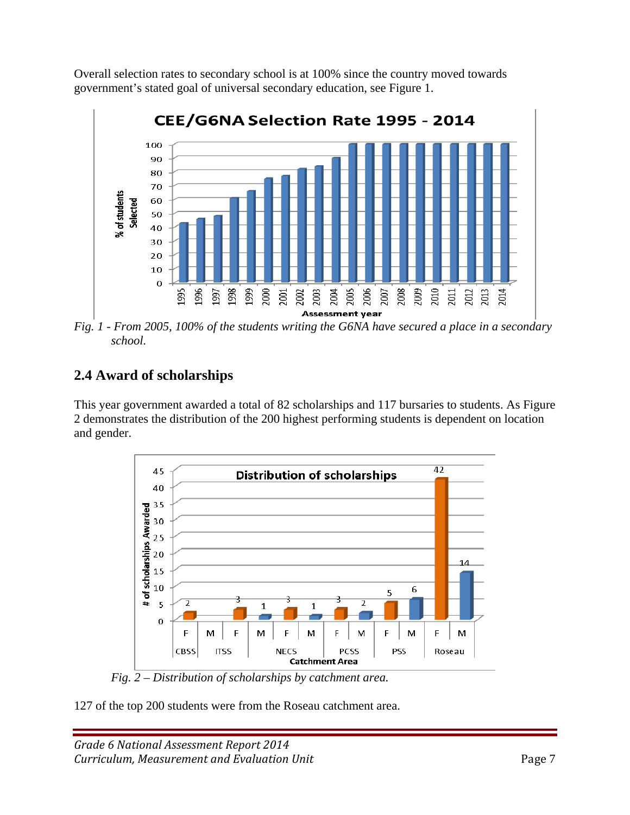Overall selection rates to secondary school is at 100% since the country moved towards government's stated goal of universal secondary education, see Figure 1.



*Fig. 1 - From 2005, 100% of the students writing the G6NA have secured a place in a secondary school.* 

# **2.4 Award of scholarships**

This year government awarded a total of 82 scholarships and 117 bursaries to students. As Figure 2 demonstrates the distribution of the 200 highest performing students is dependent on location and gender.



 *Fig. 2 – Distribution of scholarships by catchment area.* 

127 of the top 200 students were from the Roseau catchment area.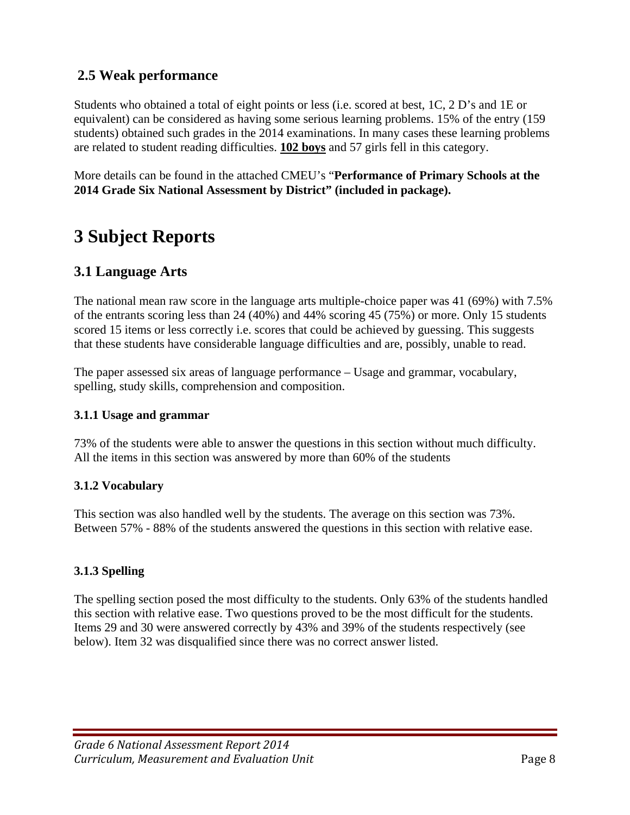## **2.5 Weak performance**

Students who obtained a total of eight points or less (i.e. scored at best, 1C, 2 D's and 1E or equivalent) can be considered as having some serious learning problems. 15% of the entry (159 students) obtained such grades in the 2014 examinations. In many cases these learning problems are related to student reading difficulties. **102 boys** and 57 girls fell in this category.

More details can be found in the attached CMEU's "**Performance of Primary Schools at the 2014 Grade Six National Assessment by District" (included in package).** 

# **3 Subject Reports**

## **3.1 Language Arts**

The national mean raw score in the language arts multiple-choice paper was 41 (69%) with 7.5% of the entrants scoring less than 24 (40%) and 44% scoring 45 (75%) or more. Only 15 students scored 15 items or less correctly i.e. scores that could be achieved by guessing. This suggests that these students have considerable language difficulties and are, possibly, unable to read.

The paper assessed six areas of language performance – Usage and grammar, vocabulary, spelling, study skills, comprehension and composition.

#### **3.1.1 Usage and grammar**

73% of the students were able to answer the questions in this section without much difficulty. All the items in this section was answered by more than 60% of the students

#### **3.1.2 Vocabulary**

This section was also handled well by the students. The average on this section was 73%. Between 57% - 88% of the students answered the questions in this section with relative ease.

#### **3.1.3 Spelling**

The spelling section posed the most difficulty to the students. Only 63% of the students handled this section with relative ease. Two questions proved to be the most difficult for the students. Items 29 and 30 were answered correctly by 43% and 39% of the students respectively (see below). Item 32 was disqualified since there was no correct answer listed.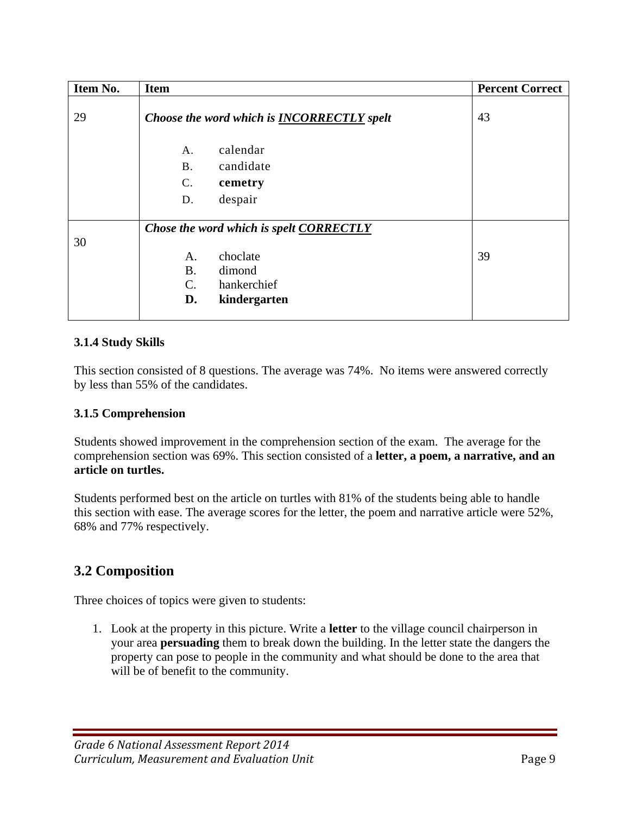| Item No. | <b>Item</b>                                                                                  | <b>Percent Correct</b> |
|----------|----------------------------------------------------------------------------------------------|------------------------|
| 29       | Choose the word which is <b>INCORRECTLY</b> spelt                                            | 43                     |
|          | calendar<br>А.<br>candidate<br><b>B.</b><br>$\mathbf{C}$ .<br>cemetry                        |                        |
|          | despair<br>D.                                                                                |                        |
| 30       | Chose the word which is spelt CORRECTLY                                                      |                        |
|          | choclate<br>A.<br><b>B.</b><br>dimond<br>hankerchief<br>$\mathbf{C}$ .<br>D.<br>kindergarten | 39                     |

### **3.1.4 Study Skills**

This section consisted of 8 questions. The average was 74%. No items were answered correctly by less than 55% of the candidates.

### **3.1.5 Comprehension**

Students showed improvement in the comprehension section of the exam. The average for the comprehension section was 69%. This section consisted of a **letter, a poem, a narrative, and an article on turtles.** 

Students performed best on the article on turtles with 81% of the students being able to handle this section with ease. The average scores for the letter, the poem and narrative article were 52%, 68% and 77% respectively.

## **3.2 Composition**

Three choices of topics were given to students:

1. Look at the property in this picture. Write a **letter** to the village council chairperson in your area **persuading** them to break down the building. In the letter state the dangers the property can pose to people in the community and what should be done to the area that will be of benefit to the community.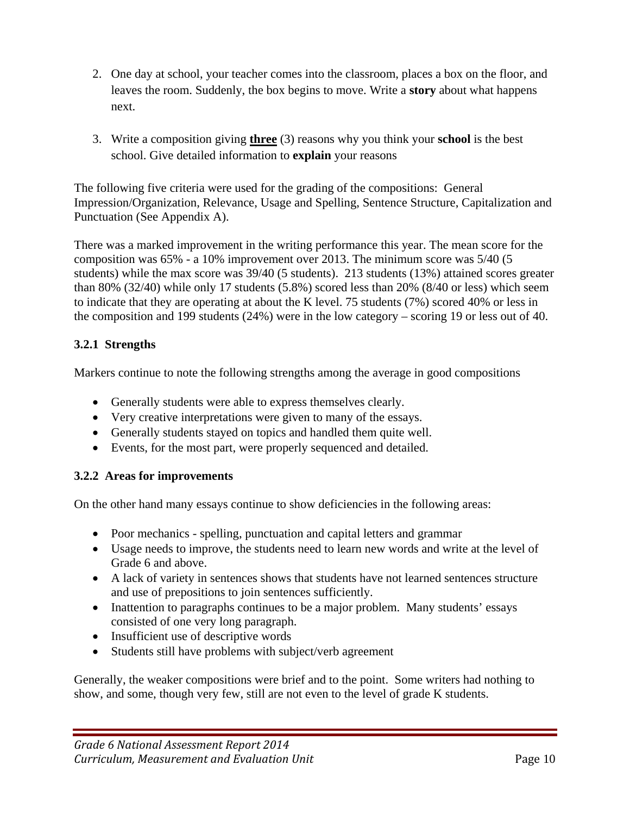- 2. One day at school, your teacher comes into the classroom, places a box on the floor, and leaves the room. Suddenly, the box begins to move. Write a **story** about what happens next.
- 3. Write a composition giving **three** (3) reasons why you think your **school** is the best school. Give detailed information to **explain** your reasons

The following five criteria were used for the grading of the compositions: General Impression/Organization, Relevance, Usage and Spelling, Sentence Structure, Capitalization and Punctuation (See Appendix A).

There was a marked improvement in the writing performance this year. The mean score for the composition was 65% - a 10% improvement over 2013. The minimum score was 5/40 (5 students) while the max score was 39/40 (5 students). 213 students (13%) attained scores greater than 80% (32/40) while only 17 students (5.8%) scored less than 20% (8/40 or less) which seem to indicate that they are operating at about the K level. 75 students (7%) scored 40% or less in the composition and 199 students (24%) were in the low category – scoring 19 or less out of 40.

## **3.2.1 Strengths**

Markers continue to note the following strengths among the average in good compositions

- Generally students were able to express themselves clearly.
- Very creative interpretations were given to many of the essays.
- Generally students stayed on topics and handled them quite well.
- Events, for the most part, were properly sequenced and detailed.

#### **3.2.2 Areas for improvements**

On the other hand many essays continue to show deficiencies in the following areas:

- Poor mechanics spelling, punctuation and capital letters and grammar
- Usage needs to improve, the students need to learn new words and write at the level of Grade 6 and above.
- A lack of variety in sentences shows that students have not learned sentences structure and use of prepositions to join sentences sufficiently.
- Inattention to paragraphs continues to be a major problem. Many students' essays consisted of one very long paragraph.
- Insufficient use of descriptive words
- Students still have problems with subject/verb agreement

Generally, the weaker compositions were brief and to the point. Some writers had nothing to show, and some, though very few, still are not even to the level of grade K students.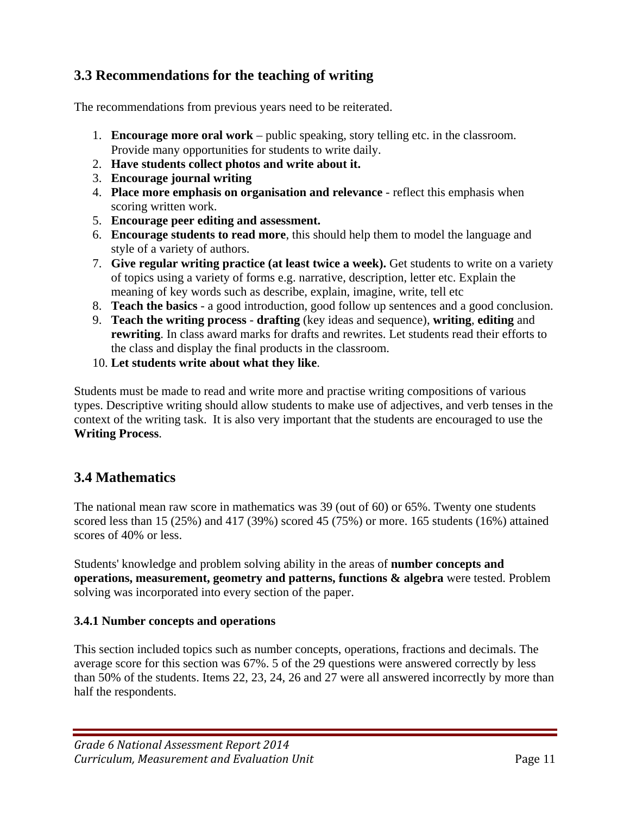## **3.3 Recommendations for the teaching of writing**

The recommendations from previous years need to be reiterated.

- 1. **Encourage more oral work** public speaking, story telling etc. in the classroom. Provide many opportunities for students to write daily.
- 2. **Have students collect photos and write about it.**
- 3. **Encourage journal writing**
- 4. **Place more emphasis on organisation and relevance** reflect this emphasis when scoring written work.
- 5. **Encourage peer editing and assessment.**
- 6. **Encourage students to read more**, this should help them to model the language and style of a variety of authors.
- 7. **Give regular writing practice (at least twice a week).** Get students to write on a variety of topics using a variety of forms e.g. narrative, description, letter etc. Explain the meaning of key words such as describe, explain, imagine, write, tell etc
- 8. **Teach the basics** a good introduction, good follow up sentences and a good conclusion.
- 9. **Teach the writing process drafting** (key ideas and sequence), **writing**, **editing** and **rewriting**. In class award marks for drafts and rewrites. Let students read their efforts to the class and display the final products in the classroom.
- 10. **Let students write about what they like**.

Students must be made to read and write more and practise writing compositions of various types. Descriptive writing should allow students to make use of adjectives, and verb tenses in the context of the writing task. It is also very important that the students are encouraged to use the **Writing Process**.

## **3.4 Mathematics**

The national mean raw score in mathematics was 39 (out of 60) or 65%. Twenty one students scored less than 15 (25%) and 417 (39%) scored 45 (75%) or more. 165 students (16%) attained scores of 40% or less.

Students' knowledge and problem solving ability in the areas of **number concepts and operations, measurement, geometry and patterns, functions & algebra** were tested. Problem solving was incorporated into every section of the paper.

#### **3.4.1 Number concepts and operations**

This section included topics such as number concepts, operations, fractions and decimals. The average score for this section was 67%. 5 of the 29 questions were answered correctly by less than 50% of the students. Items 22, 23, 24, 26 and 27 were all answered incorrectly by more than half the respondents.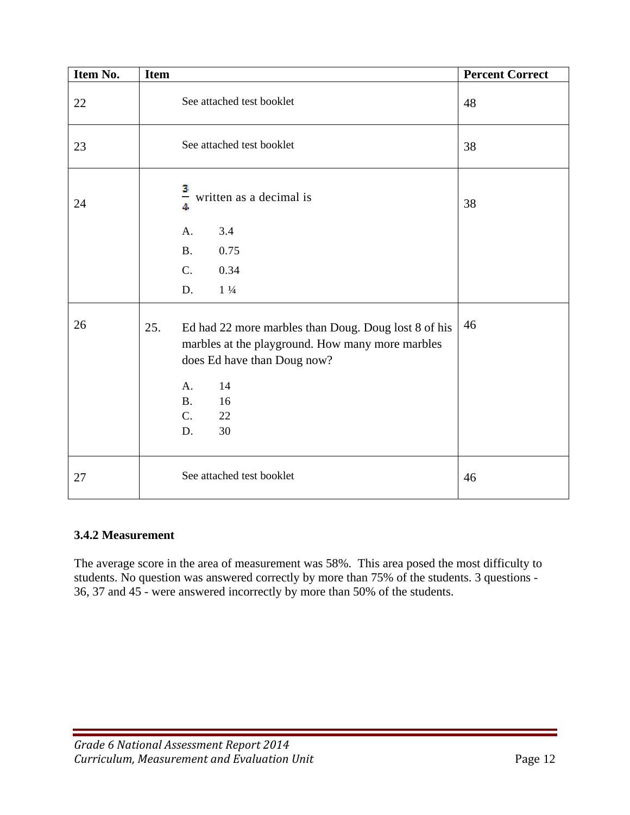| Item No. | <b>Item</b>                                                                                                                                    | <b>Percent Correct</b> |
|----------|------------------------------------------------------------------------------------------------------------------------------------------------|------------------------|
| $22\,$   | See attached test booklet                                                                                                                      | 48                     |
| 23       | See attached test booklet                                                                                                                      | 38                     |
| 24       | 3<br>$\frac{1}{4}$ written as a decimal is<br>3.4<br>A.                                                                                        | 38                     |
|          | 0.75<br><b>B.</b>                                                                                                                              |                        |
|          | C <sub>1</sub><br>0.34                                                                                                                         |                        |
|          | D.<br>$1\frac{1}{4}$                                                                                                                           |                        |
| 26       | 25.<br>Ed had 22 more marbles than Doug. Doug lost 8 of his<br>marbles at the playground. How many more marbles<br>does Ed have than Doug now? | 46                     |
|          | 14<br>A.<br><b>B.</b><br>16<br>$C$ .<br>22<br>30<br>D.                                                                                         |                        |
| 27       | See attached test booklet                                                                                                                      | 46                     |

#### **3.4.2 Measurement**

The average score in the area of measurement was 58%. This area posed the most difficulty to students. No question was answered correctly by more than 75% of the students. 3 questions - 36, 37 and 45 - were answered incorrectly by more than 50% of the students.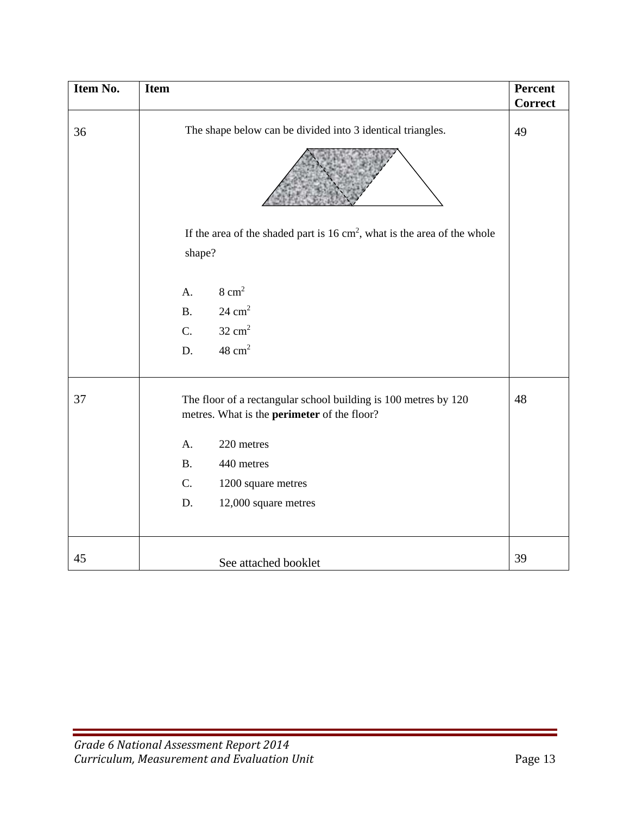| Item No. | <b>Item</b>                                                                                                           | Percent<br><b>Correct</b> |
|----------|-----------------------------------------------------------------------------------------------------------------------|---------------------------|
| 36       | The shape below can be divided into 3 identical triangles.                                                            | 49                        |
|          |                                                                                                                       |                           |
|          | If the area of the shaded part is $16 \text{ cm}^2$ , what is the area of the whole                                   |                           |
|          | shape?                                                                                                                |                           |
|          |                                                                                                                       |                           |
|          | $8 \text{ cm}^2$<br>A.                                                                                                |                           |
|          | $24 \text{ cm}^2$<br><b>B.</b>                                                                                        |                           |
|          | $32 \text{ cm}^2$<br>C.                                                                                               |                           |
|          | $48 \text{ cm}^2$<br>D.                                                                                               |                           |
| 37       | The floor of a rectangular school building is 100 metres by 120<br>metres. What is the <b>perimeter</b> of the floor? | 48                        |
|          | 220 metres<br>A.                                                                                                      |                           |
|          | 440 metres<br><b>B.</b>                                                                                               |                           |
|          | C.<br>1200 square metres                                                                                              |                           |
|          | D.<br>12,000 square metres                                                                                            |                           |
|          |                                                                                                                       |                           |
| 45       | See attached booklet                                                                                                  | 39                        |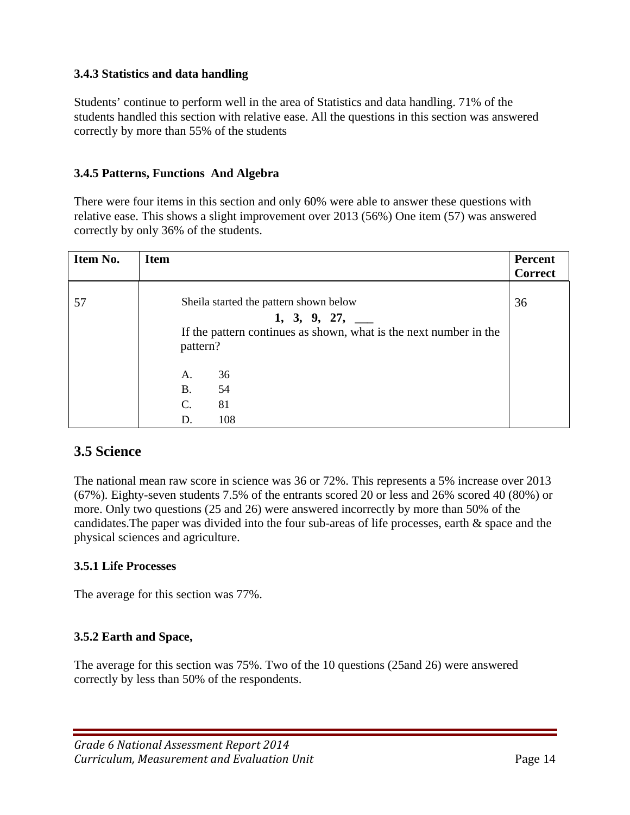#### **3.4.3 Statistics and data handling**

Students' continue to perform well in the area of Statistics and data handling. 71% of the students handled this section with relative ease. All the questions in this section was answered correctly by more than 55% of the students

#### **3.4.5 Patterns, Functions And Algebra**

There were four items in this section and only 60% were able to answer these questions with relative ease. This shows a slight improvement over 2013 (56%) One item (57) was answered correctly by only 36% of the students.

| <b>Item</b>     |                                         | Percent<br><b>Correct</b>                                                                                                      |
|-----------------|-----------------------------------------|--------------------------------------------------------------------------------------------------------------------------------|
|                 | $1, 3, 9, 27, \underline{\hspace{1cm}}$ | 36                                                                                                                             |
| A.<br><b>B.</b> | 36<br>54                                |                                                                                                                                |
| $\mathbf{C}$ .  | 81                                      |                                                                                                                                |
|                 | D.                                      | Sheila started the pattern shown below<br>If the pattern continues as shown, what is the next number in the<br>pattern?<br>108 |

## **3.5 Science**

The national mean raw score in science was 36 or 72%. This represents a 5% increase over 2013 (67%)*.* Eighty-seven students 7.5% of the entrants scored 20 or less and 26% scored 40 (80%) or more. Only two questions (25 and 26) were answered incorrectly by more than 50% of the candidates.The paper was divided into the four sub-areas of life processes, earth & space and the physical sciences and agriculture.

#### **3.5.1 Life Processes**

The average for this section was 77%.

#### **3.5.2 Earth and Space,**

The average for this section was 75%. Two of the 10 questions (25and 26) were answered correctly by less than 50% of the respondents.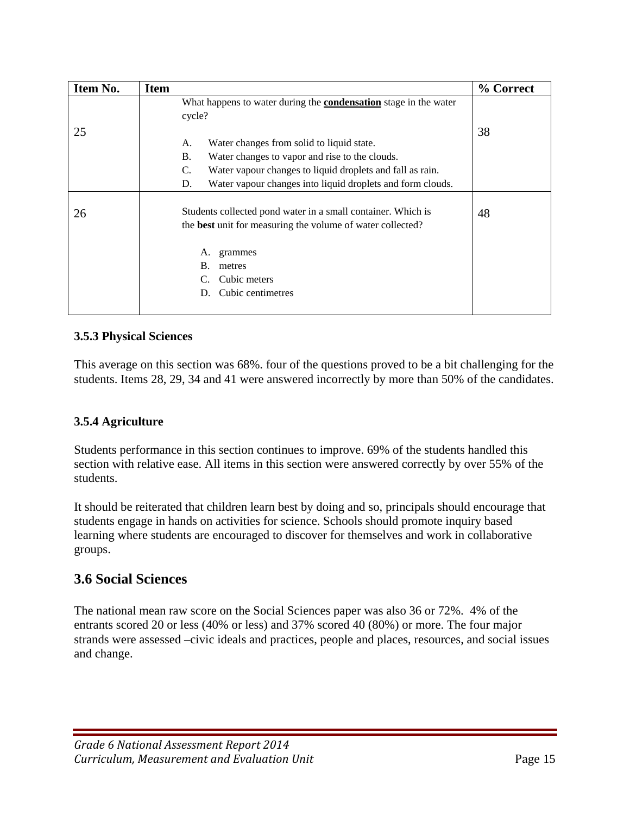| Item No. | <b>Item</b>                                                                                                                | % Correct |
|----------|----------------------------------------------------------------------------------------------------------------------------|-----------|
|          | What happens to water during the <b>condensation</b> stage in the water<br>cycle?                                          |           |
| 25       |                                                                                                                            | 38        |
|          | Water changes from solid to liquid state.<br>А.                                                                            |           |
|          | <b>B.</b><br>Water changes to vapor and rise to the clouds.                                                                |           |
|          | C.<br>Water vapour changes to liquid droplets and fall as rain.                                                            |           |
|          | Water vapour changes into liquid droplets and form clouds.<br>D.                                                           |           |
| 26       | Students collected pond water in a small container. Which is<br>the best unit for measuring the volume of water collected? | 48        |
|          | grammes<br>A.                                                                                                              |           |
|          | В.<br>metres                                                                                                               |           |
|          | Cubic meters                                                                                                               |           |
|          | Cubic centimetres                                                                                                          |           |

### **3.5.3 Physical Sciences**

This average on this section was 68%. four of the questions proved to be a bit challenging for the students. Items 28, 29, 34 and 41 were answered incorrectly by more than 50% of the candidates.

#### **3.5.4 Agriculture**

Students performance in this section continues to improve. 69% of the students handled this section with relative ease. All items in this section were answered correctly by over 55% of the students.

It should be reiterated that children learn best by doing and so, principals should encourage that students engage in hands on activities for science. Schools should promote inquiry based learning where students are encouraged to discover for themselves and work in collaborative groups.

## **3.6 Social Sciences**

The national mean raw score on the Social Sciences paper was also 36 or 72%. 4% of the entrants scored 20 or less (40% or less) and 37% scored 40 (80%) or more. The four major strands were assessed –civic ideals and practices, people and places, resources, and social issues and change.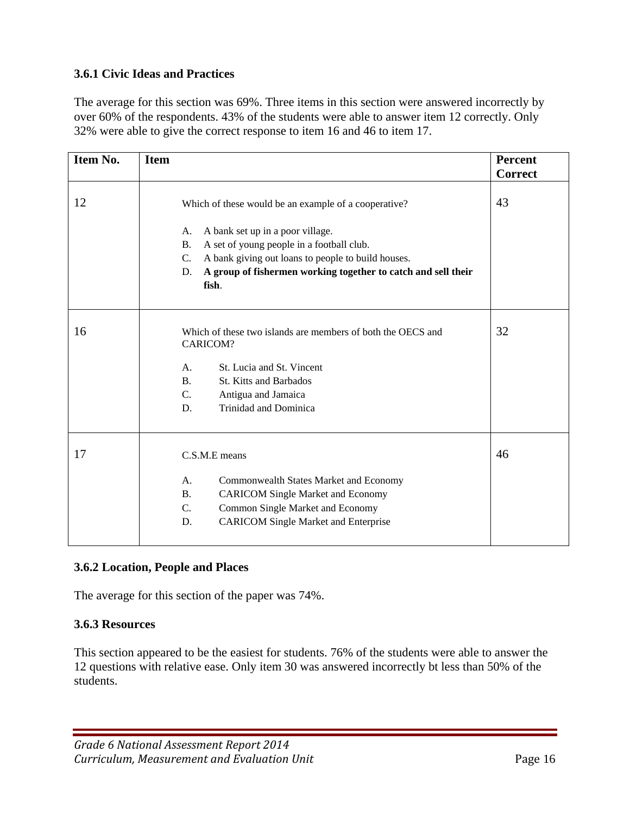#### **3.6.1 Civic Ideas and Practices**

The average for this section was 69%. Three items in this section were answered incorrectly by over 60% of the respondents. 43% of the students were able to answer item 12 correctly. Only 32% were able to give the correct response to item 16 and 46 to item 17.

| Item No. | <b>Item</b>                                                                  | <b>Percent</b> |
|----------|------------------------------------------------------------------------------|----------------|
|          |                                                                              | <b>Correct</b> |
| 12       | Which of these would be an example of a cooperative?                         | 43             |
|          | A bank set up in a poor village.<br>А.                                       |                |
|          | A set of young people in a football club.<br><b>B.</b>                       |                |
|          | A bank giving out loans to people to build houses.<br>$C_{\cdot}$            |                |
|          | A group of fishermen working together to catch and sell their<br>D.<br>fish. |                |
| 16       | Which of these two islands are members of both the OECS and<br>CARICOM?      | 32             |
|          |                                                                              |                |
|          | St. Lucia and St. Vincent<br>A <sub>1</sub>                                  |                |
|          | <b>B.</b><br><b>St. Kitts and Barbados</b>                                   |                |
|          | $C$ .<br>Antigua and Jamaica                                                 |                |
|          | Trinidad and Dominica<br>D.                                                  |                |
| 17       | C.S.M.E means                                                                | 46             |
|          | A <sub>1</sub><br>Commonwealth States Market and Economy                     |                |
|          | <b>CARICOM Single Market and Economy</b><br><b>B.</b>                        |                |
|          | Common Single Market and Economy<br>$C_{\cdot}$                              |                |
|          | <b>CARICOM Single Market and Enterprise</b><br>D.                            |                |
|          |                                                                              |                |

#### **3.6.2 Location, People and Places**

The average for this section of the paper was 74%.

#### **3.6.3 Resources**

This section appeared to be the easiest for students. 76% of the students were able to answer the 12 questions with relative ease. Only item 30 was answered incorrectly bt less than 50% of the students.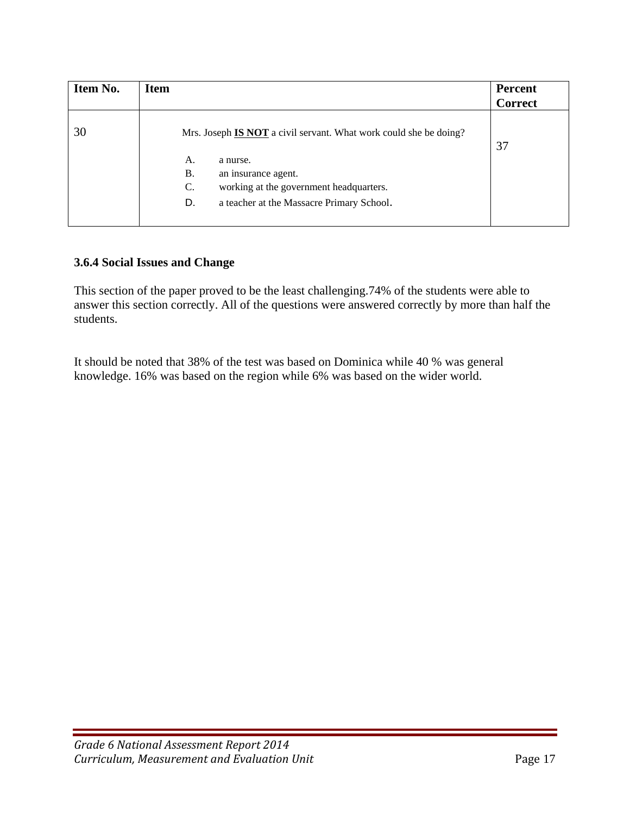| Item No. | <b>Item</b>                                                              | <b>Percent</b><br><b>Correct</b> |
|----------|--------------------------------------------------------------------------|----------------------------------|
| 30       | Mrs. Joseph <b>IS NOT</b> a civil servant. What work could she be doing? | 37                               |
|          | А.<br>a nurse.                                                           |                                  |
|          | Β.<br>an insurance agent.                                                |                                  |
|          | working at the government headquarters.<br>C.                            |                                  |
|          | D.<br>a teacher at the Massacre Primary School.                          |                                  |
|          |                                                                          |                                  |

#### **3.6.4 Social Issues and Change**

This section of the paper proved to be the least challenging.74% of the students were able to answer this section correctly. All of the questions were answered correctly by more than half the students.

It should be noted that 38% of the test was based on Dominica while 40 % was general knowledge. 16% was based on the region while 6% was based on the wider world.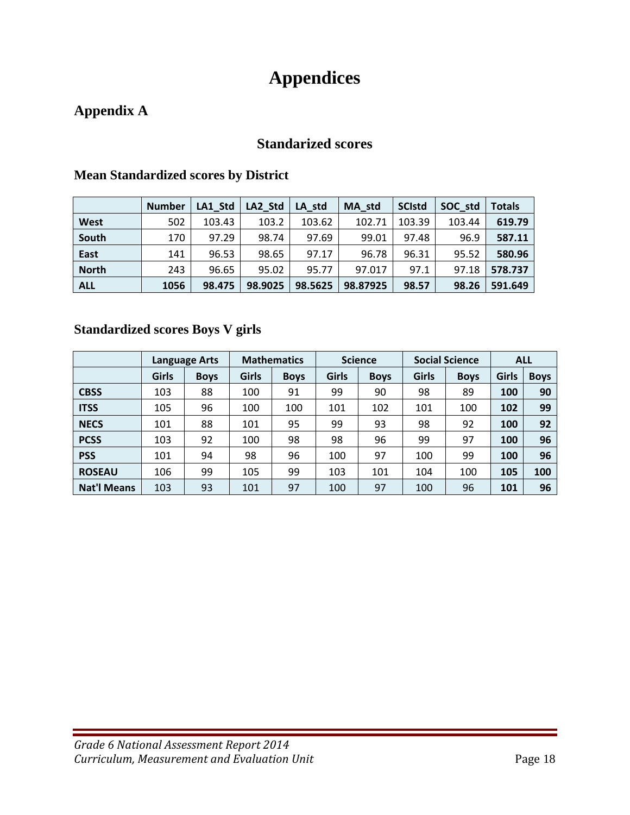# **Appendices**

# **Appendix A**

## **Standarized scores**

|              | <b>Number</b> | LA1 Std | LA2 Std | LA std  | MA std   | <b>SCIstd</b> | SOC std | <b>Totals</b> |
|--------------|---------------|---------|---------|---------|----------|---------------|---------|---------------|
| West         | 502           | 103.43  | 103.2   | 103.62  | 102.71   | 103.39        | 103.44  | 619.79        |
| South        | 170           | 97.29   | 98.74   | 97.69   | 99.01    | 97.48         | 96.9    | 587.11        |
| East         | 141           | 96.53   | 98.65   | 97.17   | 96.78    | 96.31         | 95.52   | 580.96        |
| <b>North</b> | 243           | 96.65   | 95.02   | 95.77   | 97.017   | 97.1          | 97.18   | 578.737       |
| <b>ALL</b>   | 1056          | 98.475  | 98.9025 | 98.5625 | 98.87925 | 98.57         | 98.26   | 591.649       |

### **Mean Standardized scores by District**

## **Standardized scores Boys V girls**

|                    | <b>Language Arts</b> |             | <b>Mathematics</b> |             | <b>Science</b> |             | <b>Social Science</b> |             | <b>ALL</b> |             |
|--------------------|----------------------|-------------|--------------------|-------------|----------------|-------------|-----------------------|-------------|------------|-------------|
|                    | <b>Girls</b>         | <b>Boys</b> | <b>Girls</b>       | <b>Boys</b> | <b>Girls</b>   | <b>Boys</b> | <b>Girls</b>          | <b>Boys</b> | Girls      | <b>Boys</b> |
| <b>CBSS</b>        | 103                  | 88          | 100                | 91          | 99             | 90          | 98                    | 89          | 100        | 90          |
| <b>ITSS</b>        | 105                  | 96          | 100                | 100         | 101            | 102         | 101                   | 100         | 102        | 99          |
| <b>NECS</b>        | 101                  | 88          | 101                | 95          | 99             | 93          | 98                    | 92          | 100        | 92          |
| <b>PCSS</b>        | 103                  | 92          | 100                | 98          | 98             | 96          | 99                    | 97          | 100        | 96          |
| <b>PSS</b>         | 101                  | 94          | 98                 | 96          | 100            | 97          | 100                   | 99          | 100        | 96          |
| <b>ROSEAU</b>      | 106                  | 99          | 105                | 99          | 103            | 101         | 104                   | 100         | 105        | 100         |
| <b>Nat'l Means</b> | 103                  | 93          | 101                | 97          | 100            | 97          | 100                   | 96          | 101        | 96          |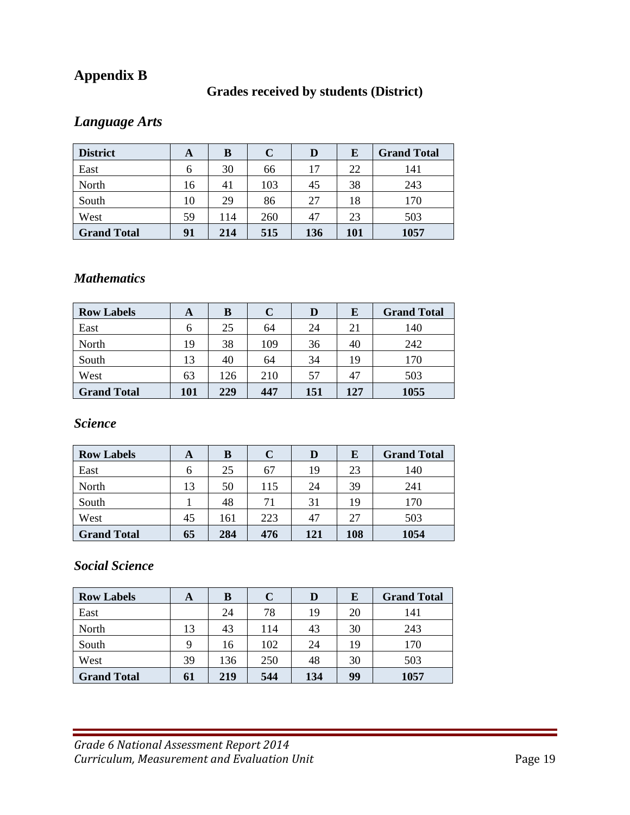# **Appendix B**

## **Grades received by students (District)**

# *Language Arts*

| <b>District</b>    | A  | B   | $\mathbf C$ | D   | E   | <b>Grand Total</b> |
|--------------------|----|-----|-------------|-----|-----|--------------------|
| East               | 6  | 30  | 66          | 17  | 22  | 141                |
| North              | 16 | 41  | 103         | 45  | 38  | 243                |
| South              | 10 | 29  | 86          | 27  | 18  | 170                |
| West               | 59 | 114 | 260         | 47  | 23  | 503                |
| <b>Grand Total</b> | 91 | 214 | 515         | 136 | 101 | 1057               |

## *Mathematics*

| <b>Row Labels</b>  | A   | в   | $\mathbf C$ | D   | E   | <b>Grand Total</b> |
|--------------------|-----|-----|-------------|-----|-----|--------------------|
| East               | 6   | 25  | 64          | 24  | 21  | 140                |
| North              | 19  | 38  | 109         | 36  | 40  | 242                |
| South              | 13  | 40  | 64          | 34  | 19  | 170                |
| West               | 63  | 126 | 210         | 57  | 47  | 503                |
| <b>Grand Total</b> | 101 | 229 | 447         | 151 | 127 | 1055               |

## *Science*

| <b>Row Labels</b>  | A  | B   |     | D   | E   | <b>Grand Total</b> |
|--------------------|----|-----|-----|-----|-----|--------------------|
| East               | 6  | 25  | 67  | 19  | 23  | 140                |
| North              | 13 | 50  | 115 | 24  | 39  | 241                |
| South              |    | 48  | 71  | 31  | 19  | 170                |
| West               | 45 | 161 | 223 | 47  | 27  | 503                |
| <b>Grand Total</b> | 65 | 284 | 476 | 121 | 108 | 1054               |

## *Social Science*

| <b>Row Labels</b>  | A  | B   | C   |     | E  | <b>Grand Total</b> |
|--------------------|----|-----|-----|-----|----|--------------------|
| East               |    | 24  | 78  | 19  | 20 | 141                |
| North              | 13 | 43  | 114 | 43  | 30 | 243                |
| South              | Q  | 16  | 102 | 24  | 19 | 170                |
| West               | 39 | 136 | 250 | 48  | 30 | 503                |
| <b>Grand Total</b> | 61 | 219 | 544 | 134 | 99 | 1057               |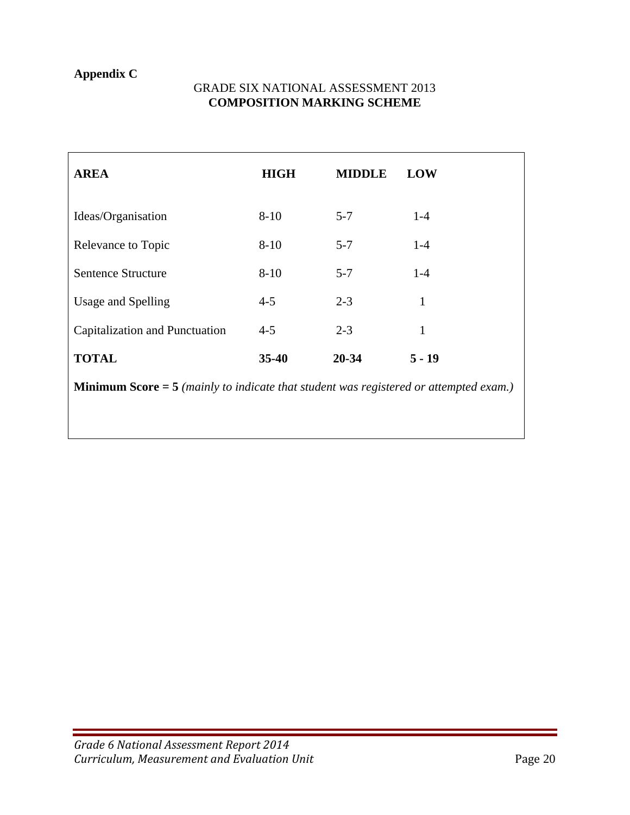## **Appendix C**

#### GRADE SIX NATIONAL ASSESSMENT 2013 **COMPOSITION MARKING SCHEME**

| <b>AREA</b>                                                                                  | <b>HIGH</b> | <b>MIDDLE</b> | LOW          |  |  |  |  |
|----------------------------------------------------------------------------------------------|-------------|---------------|--------------|--|--|--|--|
| Ideas/Organisation                                                                           | $8 - 10$    | $5 - 7$       | $1-4$        |  |  |  |  |
| Relevance to Topic                                                                           | $8-10$      | $5 - 7$       | $1-4$        |  |  |  |  |
| <b>Sentence Structure</b>                                                                    | $8 - 10$    | $5 - 7$       | $1-4$        |  |  |  |  |
| Usage and Spelling                                                                           | $4 - 5$     | $2 - 3$       | $\mathbf{1}$ |  |  |  |  |
| Capitalization and Punctuation                                                               | $4 - 5$     | $2 - 3$       | $\mathbf{1}$ |  |  |  |  |
| <b>TOTAL</b>                                                                                 | $35 - 40$   | $20 - 34$     | $5 - 19$     |  |  |  |  |
| <b>Minimum Score = 5</b> (mainly to indicate that student was registered or attempted exam.) |             |               |              |  |  |  |  |
|                                                                                              |             |               |              |  |  |  |  |
|                                                                                              |             |               |              |  |  |  |  |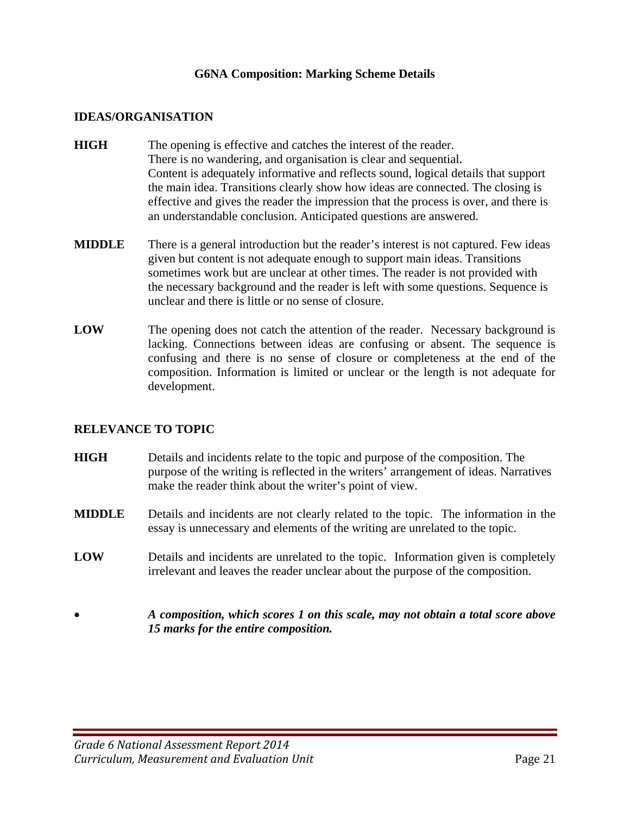#### **G6NA Composition: Marking Scheme Details**

#### **IDEAS/ORGANISATION**

- **HIGH** The opening is effective and catches the interest of the reader. There is no wandering, and organisation is clear and sequential. Content is adequately informative and reflects sound, logical details that support the main idea. Transitions clearly show how ideas are connected. The closing is effective and gives the reader the impression that the process is over, and there is an understandable conclusion. Anticipated questions are answered.
- **MIDDLE** There is a general introduction but the reader's interest is not captured. Few ideas given but content is not adequate enough to support main ideas. Transitions sometimes work but are unclear at other times. The reader is not provided with the necessary background and the reader is left with some questions. Sequence is unclear and there is little or no sense of closure.
- **LOW** The opening does not catch the attention of the reader. Necessary background is lacking. Connections between ideas are confusing or absent. The sequence is confusing and there is no sense of closure or completeness at the end of the composition. Information is limited or unclear or the length is not adequate for development.

#### **RELEVANCE TO TOPIC**

- **HIGH** Details and incidents relate to the topic and purpose of the composition. The purpose of the writing is reflected in the writers' arrangement of ideas. Narratives make the reader think about the writer's point of view.
- **MIDDLE** Details and incidents are not clearly related to the topic. The information in the essay is unnecessary and elements of the writing are unrelated to the topic.
- **LOW** Details and incidents are unrelated to the topic. Information given is completely irrelevant and leaves the reader unclear about the purpose of the composition.
- *A composition, which scores 1 on this scale, may not obtain a total score above 15 marks for the entire composition.*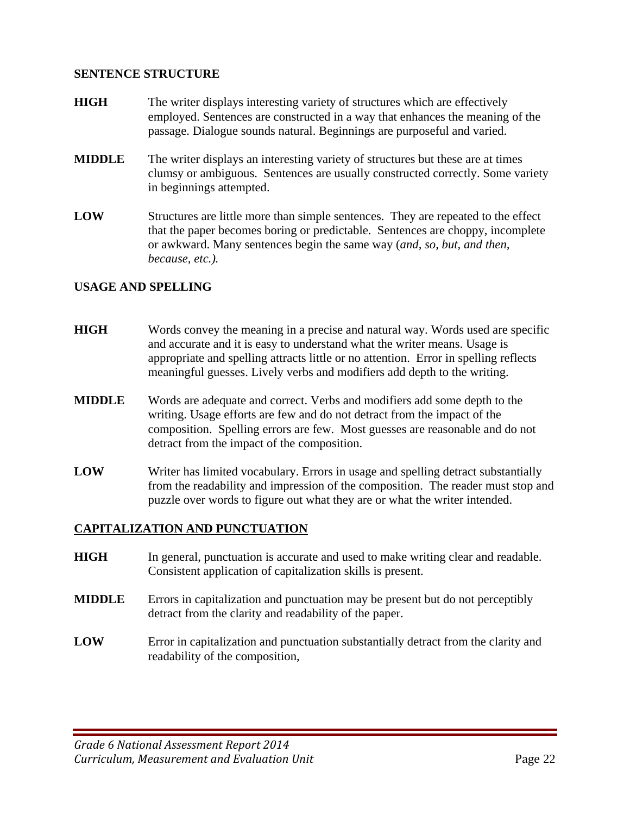#### **SENTENCE STRUCTURE**

- **HIGH** The writer displays interesting variety of structures which are effectively employed. Sentences are constructed in a way that enhances the meaning of the passage. Dialogue sounds natural. Beginnings are purposeful and varied.
- **MIDDLE** The writer displays an interesting variety of structures but these are at times clumsy or ambiguous. Sentences are usually constructed correctly. Some variety in beginnings attempted.
- **LOW** Structures are little more than simple sentences. They are repeated to the effect that the paper becomes boring or predictable. Sentences are choppy, incomplete or awkward. Many sentences begin the same way (*and, so, but, and then, because, etc.).*

#### **USAGE AND SPELLING**

- **HIGH** Words convey the meaning in a precise and natural way. Words used are specific and accurate and it is easy to understand what the writer means. Usage is appropriate and spelling attracts little or no attention. Error in spelling reflects meaningful guesses. Lively verbs and modifiers add depth to the writing.
- **MIDDLE** Words are adequate and correct. Verbs and modifiers add some depth to the writing. Usage efforts are few and do not detract from the impact of the composition. Spelling errors are few. Most guesses are reasonable and do not detract from the impact of the composition.
- **LOW** Writer has limited vocabulary. Errors in usage and spelling detract substantially from the readability and impression of the composition. The reader must stop and puzzle over words to figure out what they are or what the writer intended.

#### **CAPITALIZATION AND PUNCTUATION**

- **HIGH** In general, punctuation is accurate and used to make writing clear and readable. Consistent application of capitalization skills is present.
- **MIDDLE** Errors in capitalization and punctuation may be present but do not perceptibly detract from the clarity and readability of the paper.
- **LOW** Error in capitalization and punctuation substantially detract from the clarity and readability of the composition,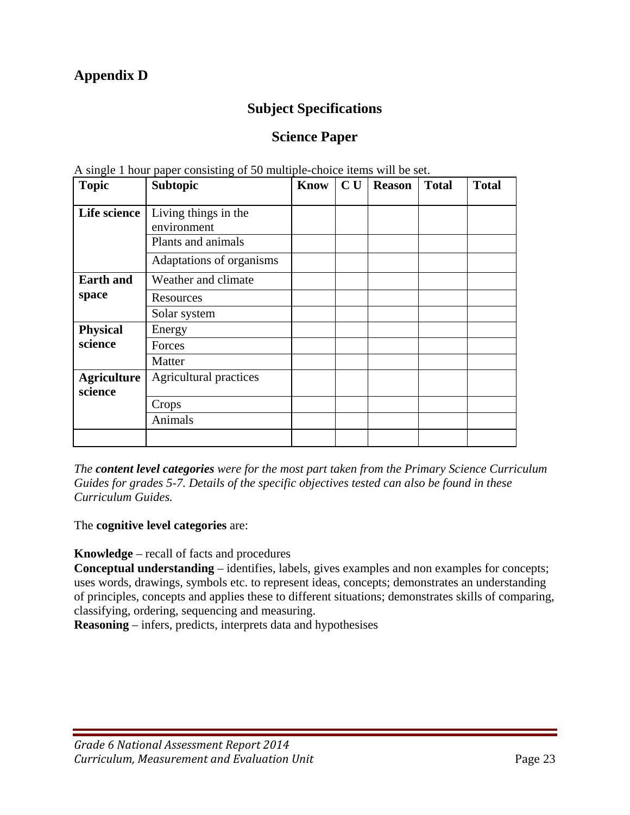# **Appendix D**

## **Subject Specifications**

## **Science Paper**

| <b>Topic</b>                  | The single T noted pupor consisting of so many<br><b>Subtopic</b> | Know | C U | <b>Reason</b> | <b>Total</b> | <b>Total</b> |
|-------------------------------|-------------------------------------------------------------------|------|-----|---------------|--------------|--------------|
| Life science                  | Living things in the<br>environment<br>Plants and animals         |      |     |               |              |              |
|                               | Adaptations of organisms                                          |      |     |               |              |              |
| <b>Earth and</b>              | Weather and climate                                               |      |     |               |              |              |
| space                         | Resources                                                         |      |     |               |              |              |
|                               | Solar system                                                      |      |     |               |              |              |
| <b>Physical</b>               | Energy                                                            |      |     |               |              |              |
| science                       | Forces                                                            |      |     |               |              |              |
|                               | Matter                                                            |      |     |               |              |              |
| <b>Agriculture</b><br>science | <b>Agricultural practices</b>                                     |      |     |               |              |              |
|                               | Crops                                                             |      |     |               |              |              |
|                               | Animals                                                           |      |     |               |              |              |
|                               |                                                                   |      |     |               |              |              |

A single 1 hour paper consisting of 50 multiple-choice items will be set.

*The content level categories were for the most part taken from the Primary Science Curriculum Guides for grades 5-7. Details of the specific objectives tested can also be found in these Curriculum Guides.* 

The **cognitive level categories** are:

**Knowledge** – recall of facts and procedures

**Conceptual understanding** – identifies, labels, gives examples and non examples for concepts; uses words, drawings, symbols etc. to represent ideas, concepts; demonstrates an understanding of principles, concepts and applies these to different situations; demonstrates skills of comparing, classifying, ordering, sequencing and measuring.

**Reasoning** – infers, predicts, interprets data and hypothesises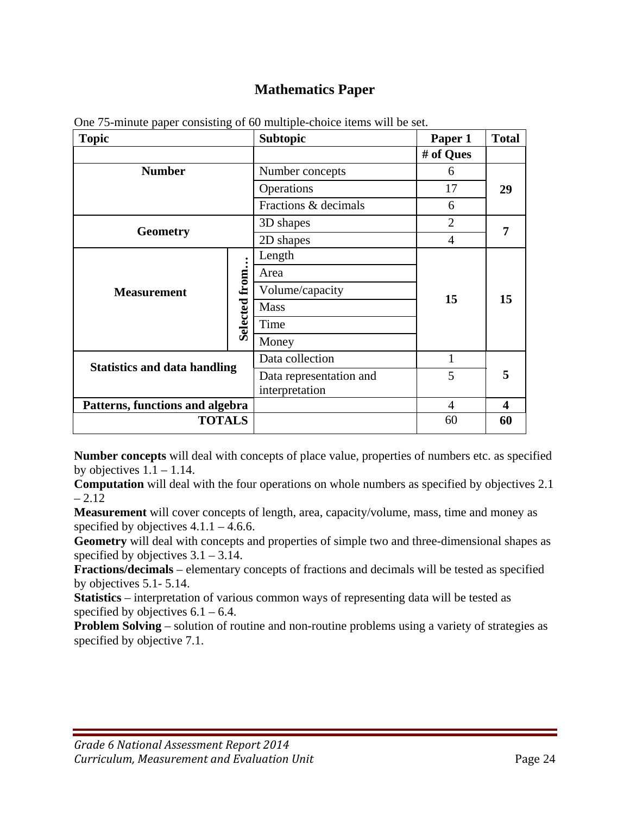## **Mathematics Paper**

| <b>Topic</b>                        |               | <b>Subtopic</b>         | Paper 1   | <b>Total</b>     |
|-------------------------------------|---------------|-------------------------|-----------|------------------|
|                                     |               |                         | # of Ques |                  |
| <b>Number</b>                       |               | Number concepts         | 6         |                  |
|                                     |               | Operations              | 17        | 29               |
|                                     |               | Fractions & decimals    | 6         |                  |
| <b>Geometry</b>                     |               | 3D shapes               | 2         |                  |
|                                     |               | 2D shapes               | 4         | 7                |
|                                     |               | Length                  |           |                  |
|                                     |               | Area                    |           |                  |
| <b>Measurement</b>                  | Selected from | Volume/capacity         |           |                  |
|                                     |               | <b>Mass</b>             | 15        | 15               |
|                                     |               | Time                    |           |                  |
|                                     |               | Money                   |           |                  |
|                                     |               | Data collection         | 1         |                  |
| <b>Statistics and data handling</b> |               | Data representation and | 5         | 5                |
|                                     |               | interpretation          |           |                  |
| Patterns, functions and algebra     |               |                         | 4         | $\boldsymbol{4}$ |
| <b>TOTALS</b>                       |               |                         | 60        | 60               |

One 75-minute paper consisting of 60 multiple-choice items will be set.

**Number concepts** will deal with concepts of place value, properties of numbers etc. as specified by objectives  $1.1 - 1.14$ .

**Computation** will deal with the four operations on whole numbers as specified by objectives 2.1  $-2.12$ 

**Measurement** will cover concepts of length, area, capacity/volume, mass, time and money as specified by objectives  $4.1.1 - 4.6.6$ .

**Geometry** will deal with concepts and properties of simple two and three-dimensional shapes as specified by objectives  $3.1 - 3.14$ .

**Fractions/decimals** – elementary concepts of fractions and decimals will be tested as specified by objectives 5.1- 5.14.

**Statistics** – interpretation of various common ways of representing data will be tested as specified by objectives  $6.1 - 6.4$ .

**Problem Solving** – solution of routine and non-routine problems using a variety of strategies as specified by objective 7.1.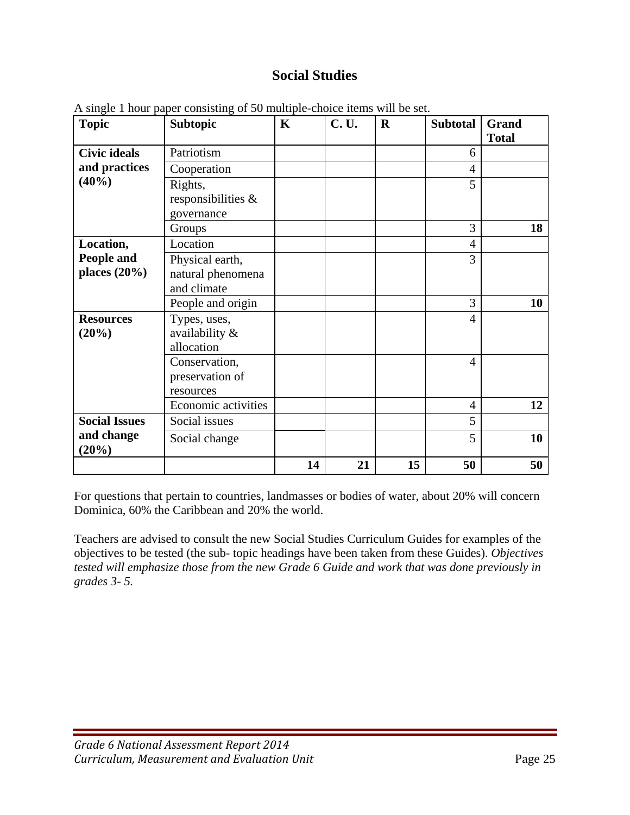## **Social Studies**

| <b>Topic</b>         | <b>Subtopic</b>     | $\mathbf K$ | <b>C.U.</b> | $\mathbf R$ | <b>Subtotal</b> | Grand        |
|----------------------|---------------------|-------------|-------------|-------------|-----------------|--------------|
|                      |                     |             |             |             |                 | <b>Total</b> |
| <b>Civic ideals</b>  | Patriotism          |             |             |             | 6               |              |
| and practices        | Cooperation         |             |             |             | $\overline{4}$  |              |
| (40%)                | Rights,             |             |             |             | 5               |              |
|                      | responsibilities &  |             |             |             |                 |              |
|                      | governance          |             |             |             |                 |              |
|                      | Groups              |             |             |             | 3               | 18           |
| Location,            | Location            |             |             |             | $\overline{4}$  |              |
| People and           | Physical earth,     |             |             |             | 3               |              |
| places $(20\%)$      | natural phenomena   |             |             |             |                 |              |
|                      | and climate         |             |             |             |                 |              |
|                      | People and origin   |             |             |             | 3               | 10           |
| <b>Resources</b>     | Types, uses,        |             |             |             | $\overline{4}$  |              |
| (20%)                | availability &      |             |             |             |                 |              |
|                      | allocation          |             |             |             |                 |              |
|                      | Conservation,       |             |             |             | $\overline{4}$  |              |
|                      | preservation of     |             |             |             |                 |              |
|                      | resources           |             |             |             |                 |              |
|                      | Economic activities |             |             |             | $\overline{4}$  | 12           |
| <b>Social Issues</b> | Social issues       |             |             |             | 5               |              |
| and change<br>(20%)  | Social change       |             |             |             | 5               | 10           |
|                      |                     | 14          | 21          | 15          | 50              | 50           |

A single 1 hour paper consisting of 50 multiple-choice items will be set.

For questions that pertain to countries, landmasses or bodies of water, about 20% will concern Dominica, 60% the Caribbean and 20% the world.

Teachers are advised to consult the new Social Studies Curriculum Guides for examples of the objectives to be tested (the sub- topic headings have been taken from these Guides). *Objectives tested will emphasize those from the new Grade 6 Guide and work that was done previously in grades 3- 5.*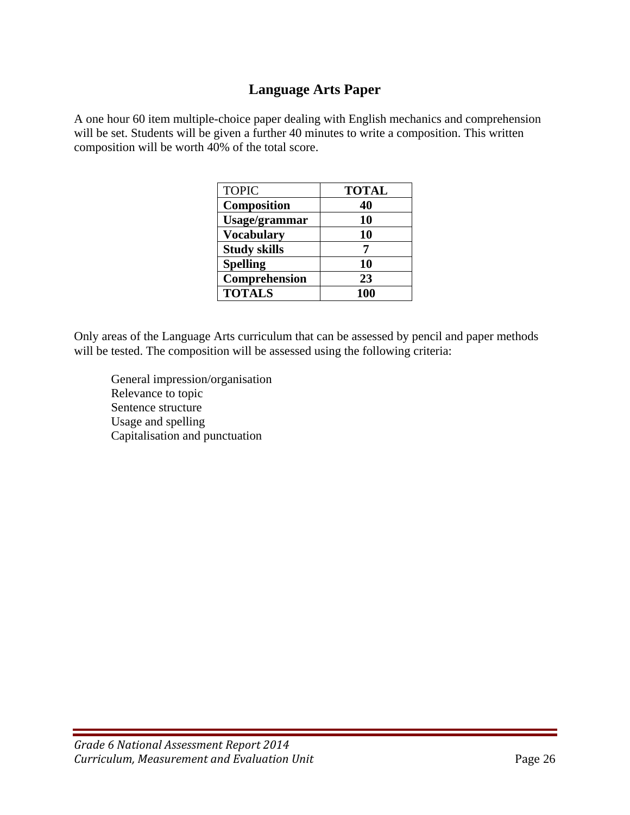## **Language Arts Paper**

A one hour 60 item multiple-choice paper dealing with English mechanics and comprehension will be set. Students will be given a further 40 minutes to write a composition. This written composition will be worth 40% of the total score.

| <b>TOPIC</b>        | <b>TOTAL</b> |
|---------------------|--------------|
| Composition         | 40           |
| Usage/grammar       | 10           |
| <b>Vocabulary</b>   | 10           |
| <b>Study skills</b> |              |
| <b>Spelling</b>     | 10           |
| Comprehension       | 23           |
| <b>TOTALS</b>       | 100          |

Only areas of the Language Arts curriculum that can be assessed by pencil and paper methods will be tested. The composition will be assessed using the following criteria:

 General impression/organisation Relevance to topic Sentence structure Usage and spelling Capitalisation and punctuation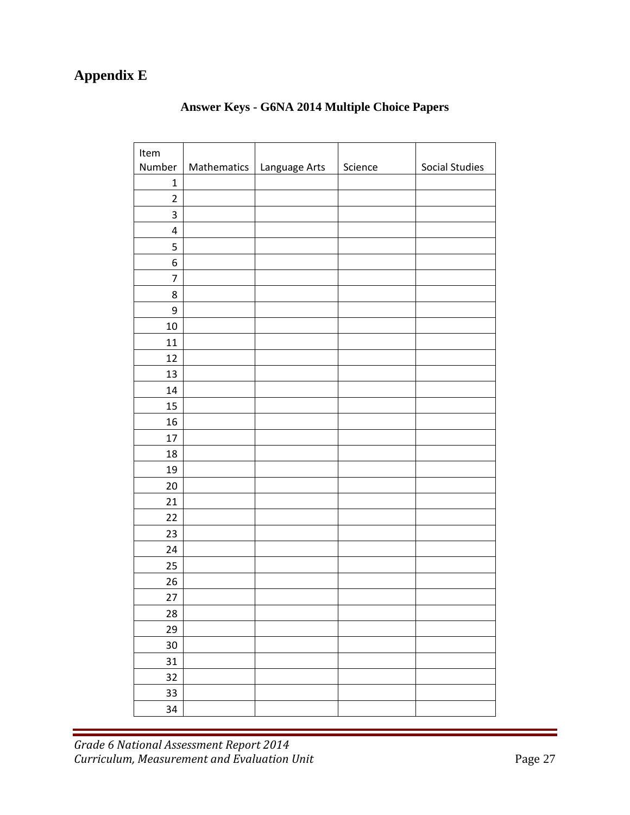# **Appendix E**

| Item           |             |               |         |                       |
|----------------|-------------|---------------|---------|-----------------------|
| Number         | Mathematics | Language Arts | Science | <b>Social Studies</b> |
| $\mathbf{1}$   |             |               |         |                       |
| $\overline{2}$ |             |               |         |                       |
| 3              |             |               |         |                       |
| $\pmb{4}$      |             |               |         |                       |
| 5              |             |               |         |                       |
| 6              |             |               |         |                       |
| 7              |             |               |         |                       |
| 8              |             |               |         |                       |
| 9              |             |               |         |                       |
| 10             |             |               |         |                       |
| 11             |             |               |         |                       |
| 12             |             |               |         |                       |
| 13             |             |               |         |                       |
| $14\,$         |             |               |         |                       |
| 15             |             |               |         |                       |
| 16             |             |               |         |                       |
| 17             |             |               |         |                       |
| 18             |             |               |         |                       |
| 19             |             |               |         |                       |
| 20             |             |               |         |                       |
| 21             |             |               |         |                       |
| 22             |             |               |         |                       |
| 23             |             |               |         |                       |
| 24             |             |               |         |                       |
| 25             |             |               |         |                       |
| 26             |             |               |         |                       |
| 27             |             |               |         |                       |
| 28             |             |               |         |                       |
| 29             |             |               |         |                       |
| 30             |             |               |         |                       |
| 31             |             |               |         |                       |
| 32             |             |               |         |                       |
| 33             |             |               |         |                       |
| 34             |             |               |         |                       |

## **Answer Keys - G6NA 2014 Multiple Choice Papers**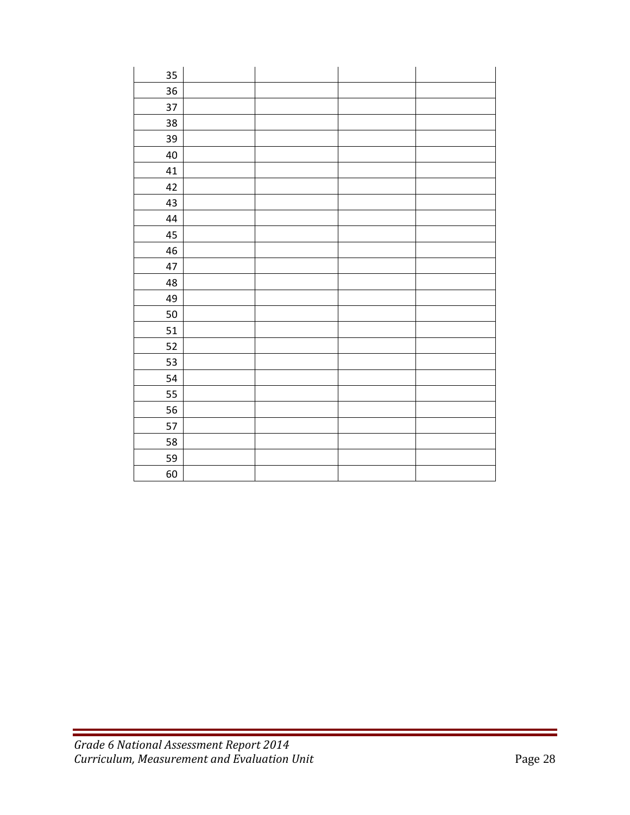| 35     |  |  |
|--------|--|--|
| 36     |  |  |
| 37     |  |  |
| 38     |  |  |
| 39     |  |  |
| $40\,$ |  |  |
| 41     |  |  |
| 42     |  |  |
| 43     |  |  |
| 44     |  |  |
| 45     |  |  |
| 46     |  |  |
| 47     |  |  |
| 48     |  |  |
| 49     |  |  |
| 50     |  |  |
| 51     |  |  |
| 52     |  |  |
| 53     |  |  |
| 54     |  |  |
| 55     |  |  |
| 56     |  |  |
| 57     |  |  |
| 58     |  |  |
| 59     |  |  |
| 60     |  |  |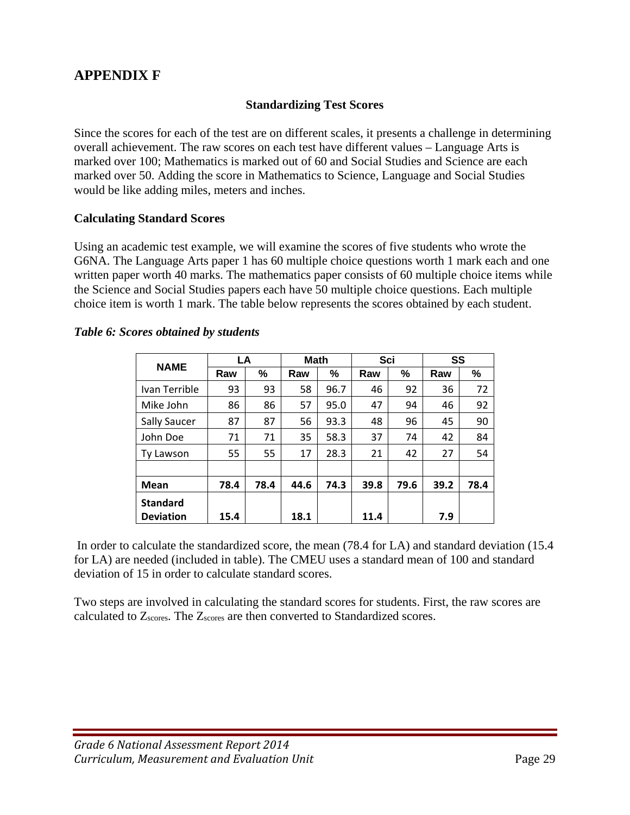## **APPENDIX F**

#### **Standardizing Test Scores**

Since the scores for each of the test are on different scales, it presents a challenge in determining overall achievement. The raw scores on each test have different values – Language Arts is marked over 100; Mathematics is marked out of 60 and Social Studies and Science are each marked over 50. Adding the score in Mathematics to Science, Language and Social Studies would be like adding miles, meters and inches.

#### **Calculating Standard Scores**

Using an academic test example, we will examine the scores of five students who wrote the G6NA. The Language Arts paper 1 has 60 multiple choice questions worth 1 mark each and one written paper worth 40 marks. The mathematics paper consists of 60 multiple choice items while the Science and Social Studies papers each have 50 multiple choice questions. Each multiple choice item is worth 1 mark. The table below represents the scores obtained by each student.

| <b>NAME</b>      | LA   |      | <b>Math</b> |      | Sci  |      | SS   |      |
|------------------|------|------|-------------|------|------|------|------|------|
|                  | Raw  | %    | Raw         | %    | Raw  | %    | Raw  | %    |
| Ivan Terrible    | 93   | 93   | 58          | 96.7 | 46   | 92   | 36   | 72   |
| Mike John        | 86   | 86   | 57          | 95.0 | 47   | 94   | 46   | 92   |
| Sally Saucer     | 87   | 87   | 56          | 93.3 | 48   | 96   | 45   | 90   |
| John Doe         | 71   | 71   | 35          | 58.3 | 37   | 74   | 42   | 84   |
| Ty Lawson        | 55   | 55   | 17          | 28.3 | 21   | 42   | 27   | 54   |
|                  |      |      |             |      |      |      |      |      |
| <b>Mean</b>      | 78.4 | 78.4 | 44.6        | 74.3 | 39.8 | 79.6 | 39.2 | 78.4 |
| <b>Standard</b>  |      |      |             |      |      |      |      |      |
| <b>Deviation</b> | 15.4 |      | 18.1        |      | 11.4 |      | 7.9  |      |

#### *Table 6: Scores obtained by students*

 In order to calculate the standardized score, the mean (78.4 for LA) and standard deviation (15.4 for LA) are needed (included in table). The CMEU uses a standard mean of 100 and standard deviation of 15 in order to calculate standard scores.

Two steps are involved in calculating the standard scores for students. First, the raw scores are calculated to Zscores. The Zscores are then converted to Standardized scores.